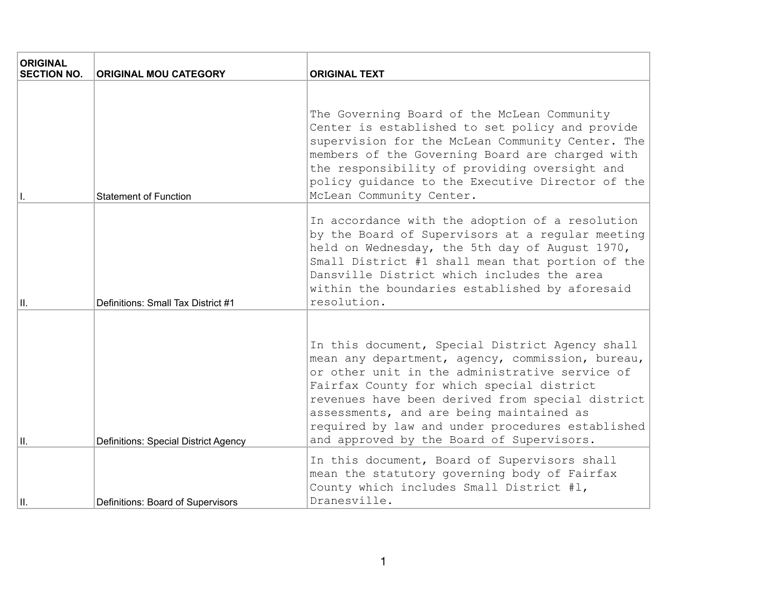| <b>ORIGINAL</b><br><b>SECTION NO.</b> | <b>ORIGINAL MOU CATEGORY</b>                | <b>ORIGINAL TEXT</b>                                                                                                                                                                                                                                                                                                                                                                                |
|---------------------------------------|---------------------------------------------|-----------------------------------------------------------------------------------------------------------------------------------------------------------------------------------------------------------------------------------------------------------------------------------------------------------------------------------------------------------------------------------------------------|
| Н.                                    | <b>Statement of Function</b>                | The Governing Board of the McLean Community<br>Center is established to set policy and provide<br>supervision for the McLean Community Center. The<br>members of the Governing Board are charged with<br>the responsibility of providing oversight and<br>policy quidance to the Executive Director of the<br>McLean Community Center.                                                              |
| lıı.                                  | Definitions: Small Tax District #1          | In accordance with the adoption of a resolution<br>by the Board of Supervisors at a regular meeting<br>held on Wednesday, the 5th day of August 1970,<br>Small District #1 shall mean that portion of the<br>Dansville District which includes the area<br>within the boundaries established by aforesaid<br>resolution.                                                                            |
| III.                                  | <b>Definitions: Special District Agency</b> | In this document, Special District Agency shall<br>mean any department, agency, commission, bureau,<br>or other unit in the administrative service of<br>Fairfax County for which special district<br>revenues have been derived from special district<br>assessments, and are being maintained as<br>required by law and under procedures established<br>and approved by the Board of Supervisors. |
| Iн.                                   | Definitions: Board of Supervisors           | In this document, Board of Supervisors shall<br>mean the statutory governing body of Fairfax<br>County which includes Small District #1,<br>Dranesville.                                                                                                                                                                                                                                            |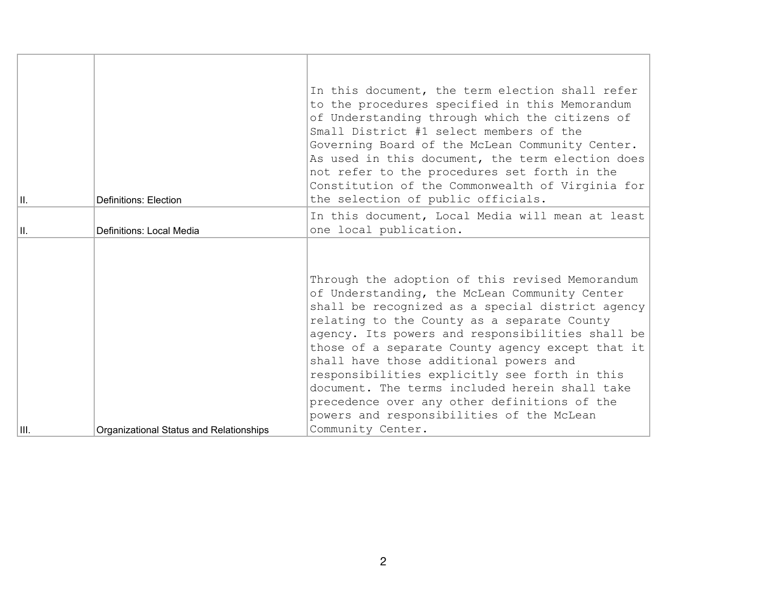| H.   | Definitions: Election                   | In this document, the term election shall refer<br>to the procedures specified in this Memorandum<br>of Understanding through which the citizens of<br>Small District #1 select members of the<br>Governing Board of the McLean Community Center.<br>As used in this document, the term election does<br>not refer to the procedures set forth in the<br>Constitution of the Commonwealth of Virginia for<br>the selection of public officials.                                                                                                                            |
|------|-----------------------------------------|----------------------------------------------------------------------------------------------------------------------------------------------------------------------------------------------------------------------------------------------------------------------------------------------------------------------------------------------------------------------------------------------------------------------------------------------------------------------------------------------------------------------------------------------------------------------------|
| Ш.   | Definitions: Local Media                | In this document, Local Media will mean at least<br>one local publication.                                                                                                                                                                                                                                                                                                                                                                                                                                                                                                 |
| III. | Organizational Status and Relationships | Through the adoption of this revised Memorandum<br>of Understanding, the McLean Community Center<br>shall be recognized as a special district agency<br>relating to the County as a separate County<br>agency. Its powers and responsibilities shall be<br>those of a separate County agency except that it<br>shall have those additional powers and<br>responsibilities explicitly see forth in this<br>document. The terms included herein shall take<br>precedence over any other definitions of the<br>powers and responsibilities of the McLean<br>Community Center. |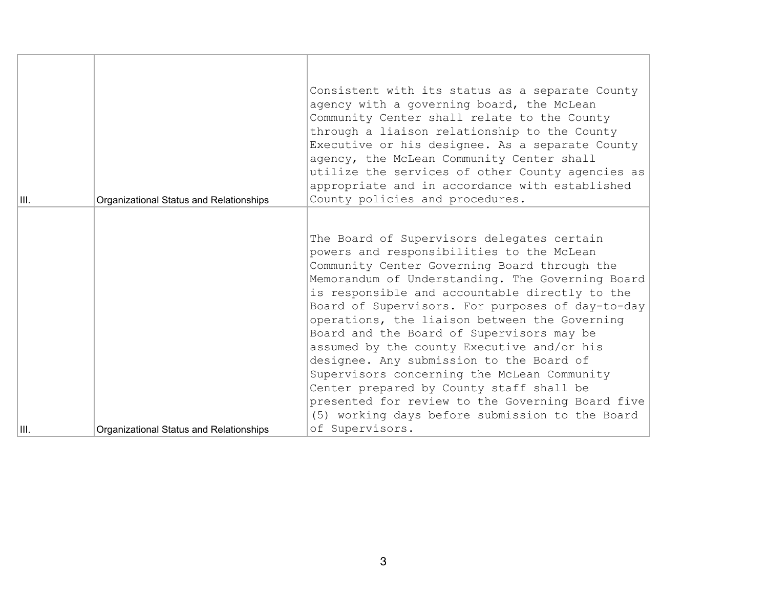| III. | Organizational Status and Relationships | Consistent with its status as a separate County<br>agency with a governing board, the McLean<br>Community Center shall relate to the County<br>through a liaison relationship to the County<br>Executive or his designee. As a separate County<br>agency, the McLean Community Center shall<br>utilize the services of other County agencies as<br>appropriate and in accordance with established<br>County policies and procedures.                                                                                                                                                                                                                                                                           |
|------|-----------------------------------------|----------------------------------------------------------------------------------------------------------------------------------------------------------------------------------------------------------------------------------------------------------------------------------------------------------------------------------------------------------------------------------------------------------------------------------------------------------------------------------------------------------------------------------------------------------------------------------------------------------------------------------------------------------------------------------------------------------------|
| III. | Organizational Status and Relationships | The Board of Supervisors delegates certain<br>powers and responsibilities to the McLean<br>Community Center Governing Board through the<br>Memorandum of Understanding. The Governing Board<br>is responsible and accountable directly to the<br>Board of Supervisors. For purposes of day-to-day<br>operations, the liaison between the Governing<br>Board and the Board of Supervisors may be<br>assumed by the county Executive and/or his<br>designee. Any submission to the Board of<br>Supervisors concerning the McLean Community<br>Center prepared by County staff shall be<br>presented for review to the Governing Board five<br>(5) working days before submission to the Board<br>of Supervisors. |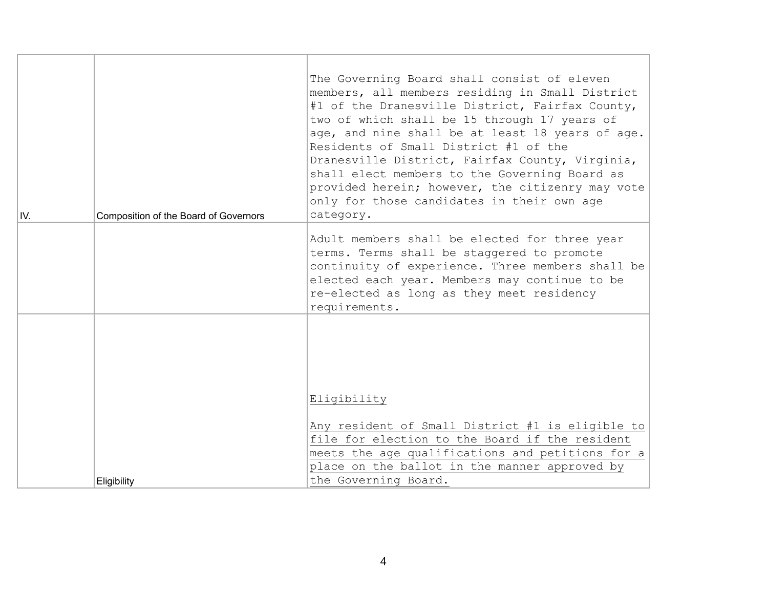| IV. | Composition of the Board of Governors | The Governing Board shall consist of eleven<br>members, all members residing in Small District<br>#1 of the Dranesville District, Fairfax County,<br>two of which shall be 15 through 17 years of<br>age, and nine shall be at least 18 years of age.<br>Residents of Small District #1 of the<br>Dranesville District, Fairfax County, Virginia,<br>shall elect members to the Governing Board as<br>provided herein; however, the citizenry may vote<br>only for those candidates in their own age<br>category. |
|-----|---------------------------------------|-------------------------------------------------------------------------------------------------------------------------------------------------------------------------------------------------------------------------------------------------------------------------------------------------------------------------------------------------------------------------------------------------------------------------------------------------------------------------------------------------------------------|
|     |                                       | Adult members shall be elected for three year<br>terms. Terms shall be staggered to promote<br>continuity of experience. Three members shall be<br>elected each year. Members may continue to be<br>re-elected as long as they meet residency<br>requirements.                                                                                                                                                                                                                                                    |
|     | Eligibility                           | Eligibility<br>Any resident of Small District #1 is eligible to<br>file for election to the Board if the resident<br>meets the age qualifications and petitions for a<br>place on the ballot in the manner approved by<br>the Governing Board.                                                                                                                                                                                                                                                                    |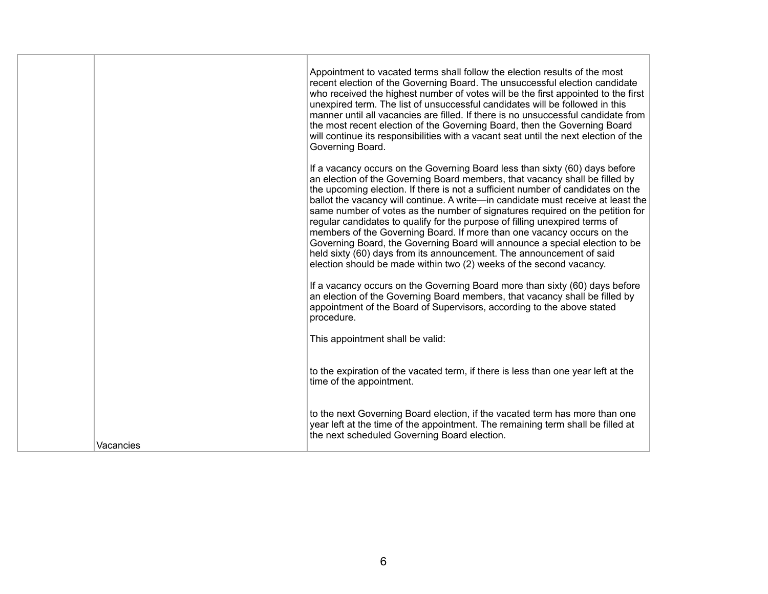|           | Appointment to vacated terms shall follow the election results of the most<br>recent election of the Governing Board. The unsuccessful election candidate<br>who received the highest number of votes will be the first appointed to the first<br>unexpired term. The list of unsuccessful candidates will be followed in this<br>manner until all vacancies are filled. If there is no unsuccessful candidate from<br>the most recent election of the Governing Board, then the Governing Board<br>will continue its responsibilities with a vacant seat until the next election of the<br>Governing Board.                                                                                                                                                                                              |
|-----------|-----------------------------------------------------------------------------------------------------------------------------------------------------------------------------------------------------------------------------------------------------------------------------------------------------------------------------------------------------------------------------------------------------------------------------------------------------------------------------------------------------------------------------------------------------------------------------------------------------------------------------------------------------------------------------------------------------------------------------------------------------------------------------------------------------------|
|           | If a vacancy occurs on the Governing Board less than sixty (60) days before<br>an election of the Governing Board members, that vacancy shall be filled by<br>the upcoming election. If there is not a sufficient number of candidates on the<br>ballot the vacancy will continue. A write-in candidate must receive at least the<br>same number of votes as the number of signatures required on the petition for<br>regular candidates to qualify for the purpose of filling unexpired terms of<br>members of the Governing Board. If more than one vacancy occurs on the<br>Governing Board, the Governing Board will announce a special election to be<br>held sixty (60) days from its announcement. The announcement of said<br>election should be made within two (2) weeks of the second vacancy. |
|           | If a vacancy occurs on the Governing Board more than sixty (60) days before<br>an election of the Governing Board members, that vacancy shall be filled by<br>appointment of the Board of Supervisors, according to the above stated<br>procedure.                                                                                                                                                                                                                                                                                                                                                                                                                                                                                                                                                        |
|           | This appointment shall be valid:                                                                                                                                                                                                                                                                                                                                                                                                                                                                                                                                                                                                                                                                                                                                                                          |
|           | to the expiration of the vacated term, if there is less than one year left at the<br>time of the appointment.                                                                                                                                                                                                                                                                                                                                                                                                                                                                                                                                                                                                                                                                                             |
| Vacancies | to the next Governing Board election, if the vacated term has more than one<br>year left at the time of the appointment. The remaining term shall be filled at<br>the next scheduled Governing Board election.                                                                                                                                                                                                                                                                                                                                                                                                                                                                                                                                                                                            |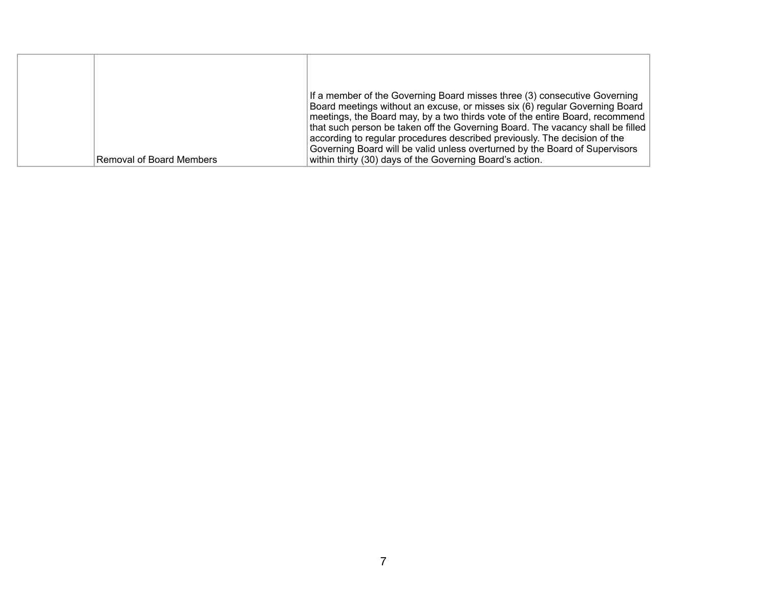|                          | If a member of the Governing Board misses three (3) consecutive Governing<br>Board meetings without an excuse, or misses six (6) regular Governing Board                                                                                                                                                                                                                               |
|--------------------------|----------------------------------------------------------------------------------------------------------------------------------------------------------------------------------------------------------------------------------------------------------------------------------------------------------------------------------------------------------------------------------------|
| Removal of Board Members | meetings, the Board may, by a two thirds vote of the entire Board, recommend<br>that such person be taken off the Governing Board. The vacancy shall be filled<br>according to regular procedures described previously. The decision of the<br>Governing Board will be valid unless overturned by the Board of Supervisors<br>within thirty (30) days of the Governing Board's action. |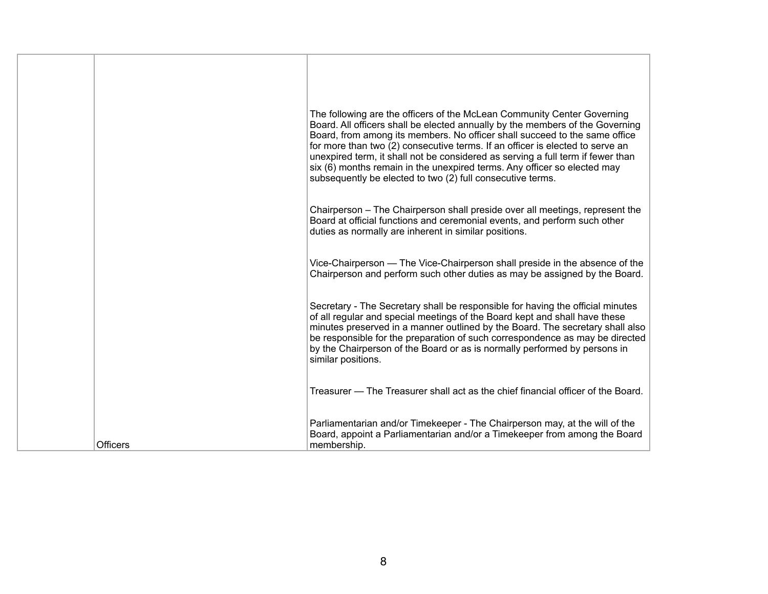|                 | The following are the officers of the McLean Community Center Governing<br>Board. All officers shall be elected annually by the members of the Governing<br>Board, from among its members. No officer shall succeed to the same office<br>for more than two (2) consecutive terms. If an officer is elected to serve an<br>unexpired term, it shall not be considered as serving a full term if fewer than<br>six (6) months remain in the unexpired terms. Any officer so elected may<br>subsequently be elected to two (2) full consecutive terms. |
|-----------------|------------------------------------------------------------------------------------------------------------------------------------------------------------------------------------------------------------------------------------------------------------------------------------------------------------------------------------------------------------------------------------------------------------------------------------------------------------------------------------------------------------------------------------------------------|
|                 | Chairperson – The Chairperson shall preside over all meetings, represent the<br>Board at official functions and ceremonial events, and perform such other<br>duties as normally are inherent in similar positions.                                                                                                                                                                                                                                                                                                                                   |
|                 | Vice-Chairperson — The Vice-Chairperson shall preside in the absence of the<br>Chairperson and perform such other duties as may be assigned by the Board.                                                                                                                                                                                                                                                                                                                                                                                            |
|                 | Secretary - The Secretary shall be responsible for having the official minutes<br>of all regular and special meetings of the Board kept and shall have these<br>minutes preserved in a manner outlined by the Board. The secretary shall also<br>be responsible for the preparation of such correspondence as may be directed<br>by the Chairperson of the Board or as is normally performed by persons in<br>similar positions.                                                                                                                     |
|                 | Treasurer — The Treasurer shall act as the chief financial officer of the Board.                                                                                                                                                                                                                                                                                                                                                                                                                                                                     |
| <b>Officers</b> | Parliamentarian and/or Timekeeper - The Chairperson may, at the will of the<br>Board, appoint a Parliamentarian and/or a Timekeeper from among the Board<br>membership.                                                                                                                                                                                                                                                                                                                                                                              |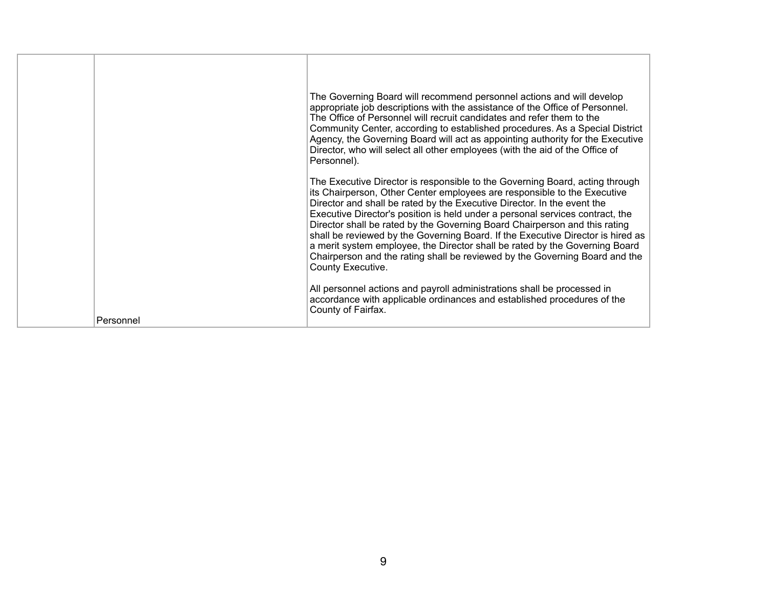|           | The Governing Board will recommend personnel actions and will develop<br>appropriate job descriptions with the assistance of the Office of Personnel.<br>The Office of Personnel will recruit candidates and refer them to the<br>Community Center, according to established procedures. As a Special District<br>Agency, the Governing Board will act as appointing authority for the Executive<br>Director, who will select all other employees (with the aid of the Office of<br>Personnel).                                                                                                                                                                          |
|-----------|--------------------------------------------------------------------------------------------------------------------------------------------------------------------------------------------------------------------------------------------------------------------------------------------------------------------------------------------------------------------------------------------------------------------------------------------------------------------------------------------------------------------------------------------------------------------------------------------------------------------------------------------------------------------------|
|           | The Executive Director is responsible to the Governing Board, acting through<br>its Chairperson, Other Center employees are responsible to the Executive<br>Director and shall be rated by the Executive Director. In the event the<br>Executive Director's position is held under a personal services contract, the<br>Director shall be rated by the Governing Board Chairperson and this rating<br>shall be reviewed by the Governing Board. If the Executive Director is hired as<br>a merit system employee, the Director shall be rated by the Governing Board<br>Chairperson and the rating shall be reviewed by the Governing Board and the<br>County Executive. |
| Personnel | All personnel actions and payroll administrations shall be processed in<br>accordance with applicable ordinances and established procedures of the<br>County of Fairfax.                                                                                                                                                                                                                                                                                                                                                                                                                                                                                                 |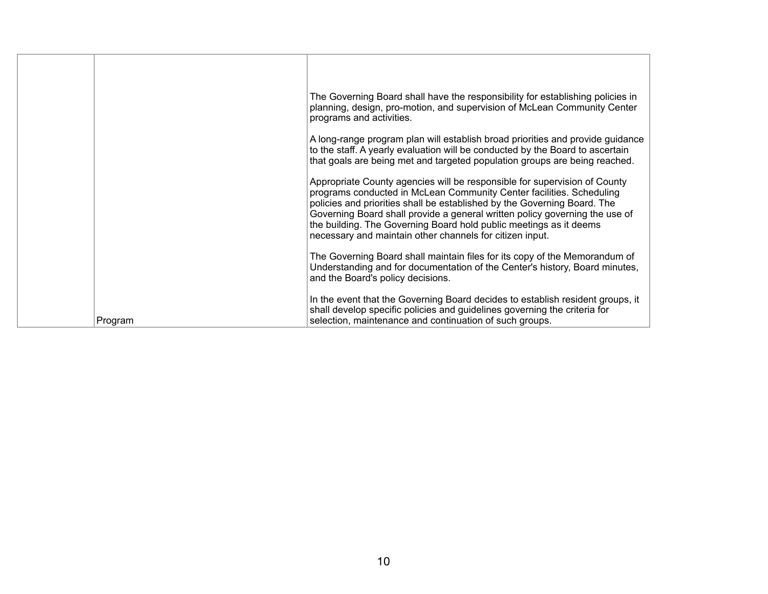|         | The Governing Board shall have the responsibility for establishing policies in<br>planning, design, pro-motion, and supervision of McLean Community Center<br>programs and activities.                                                                                                                                                                                                                                                         |
|---------|------------------------------------------------------------------------------------------------------------------------------------------------------------------------------------------------------------------------------------------------------------------------------------------------------------------------------------------------------------------------------------------------------------------------------------------------|
|         | A long-range program plan will establish broad priorities and provide guidance<br>to the staff. A yearly evaluation will be conducted by the Board to ascertain<br>that goals are being met and targeted population groups are being reached.                                                                                                                                                                                                  |
|         | Appropriate County agencies will be responsible for supervision of County<br>programs conducted in McLean Community Center facilities. Scheduling<br>policies and priorities shall be established by the Governing Board. The<br>Governing Board shall provide a general written policy governing the use of<br>the building. The Governing Board hold public meetings as it deems<br>necessary and maintain other channels for citizen input. |
|         | The Governing Board shall maintain files for its copy of the Memorandum of<br>Understanding and for documentation of the Center's history, Board minutes,<br>and the Board's policy decisions.                                                                                                                                                                                                                                                 |
| Program | In the event that the Governing Board decides to establish resident groups, it<br>shall develop specific policies and guidelines governing the criteria for<br>selection, maintenance and continuation of such groups.                                                                                                                                                                                                                         |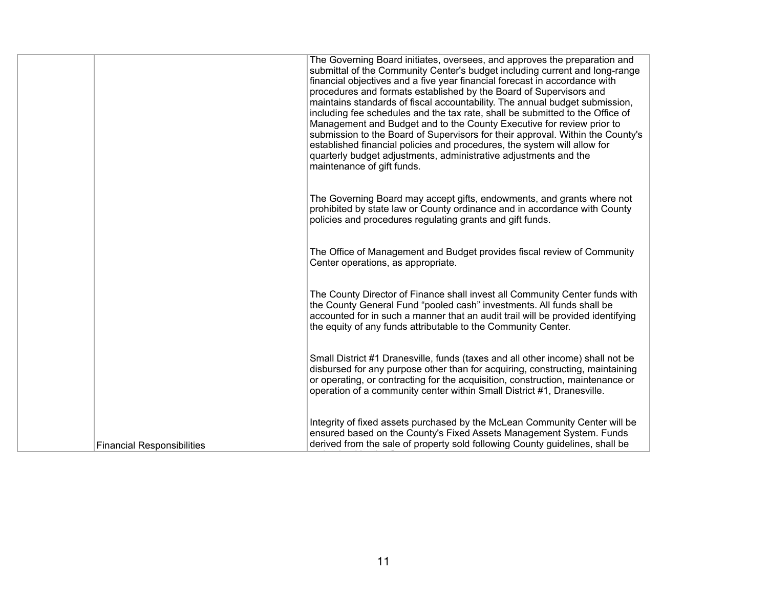|                                   | The Governing Board initiates, oversees, and approves the preparation and<br>submittal of the Community Center's budget including current and long-range<br>financial objectives and a five year financial forecast in accordance with<br>procedures and formats established by the Board of Supervisors and<br>maintains standards of fiscal accountability. The annual budget submission,<br>including fee schedules and the tax rate, shall be submitted to the Office of<br>Management and Budget and to the County Executive for review prior to<br>submission to the Board of Supervisors for their approval. Within the County's<br>established financial policies and procedures, the system will allow for<br>quarterly budget adjustments, administrative adjustments and the<br>maintenance of gift funds. |
|-----------------------------------|-----------------------------------------------------------------------------------------------------------------------------------------------------------------------------------------------------------------------------------------------------------------------------------------------------------------------------------------------------------------------------------------------------------------------------------------------------------------------------------------------------------------------------------------------------------------------------------------------------------------------------------------------------------------------------------------------------------------------------------------------------------------------------------------------------------------------|
|                                   | The Governing Board may accept gifts, endowments, and grants where not<br>prohibited by state law or County ordinance and in accordance with County<br>policies and procedures regulating grants and gift funds.                                                                                                                                                                                                                                                                                                                                                                                                                                                                                                                                                                                                      |
|                                   | The Office of Management and Budget provides fiscal review of Community<br>Center operations, as appropriate.                                                                                                                                                                                                                                                                                                                                                                                                                                                                                                                                                                                                                                                                                                         |
|                                   | The County Director of Finance shall invest all Community Center funds with<br>the County General Fund "pooled cash" investments. All funds shall be<br>accounted for in such a manner that an audit trail will be provided identifying<br>the equity of any funds attributable to the Community Center.                                                                                                                                                                                                                                                                                                                                                                                                                                                                                                              |
|                                   | Small District #1 Dranesville, funds (taxes and all other income) shall not be<br>disbursed for any purpose other than for acquiring, constructing, maintaining<br>or operating, or contracting for the acquisition, construction, maintenance or<br>operation of a community center within Small District #1, Dranesville.                                                                                                                                                                                                                                                                                                                                                                                                                                                                                           |
| <b>Financial Responsibilities</b> | Integrity of fixed assets purchased by the McLean Community Center will be<br>ensured based on the County's Fixed Assets Management System. Funds<br>derived from the sale of property sold following County guidelines, shall be                                                                                                                                                                                                                                                                                                                                                                                                                                                                                                                                                                                     |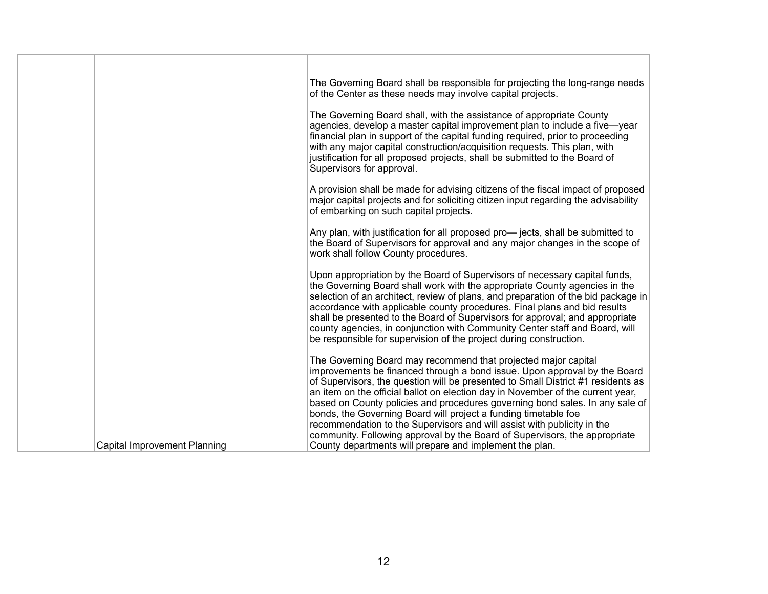|                                     | The Governing Board shall be responsible for projecting the long-range needs                                                                                                                                                                                                                                                                                                                                                                                                                                                                                                                                                   |
|-------------------------------------|--------------------------------------------------------------------------------------------------------------------------------------------------------------------------------------------------------------------------------------------------------------------------------------------------------------------------------------------------------------------------------------------------------------------------------------------------------------------------------------------------------------------------------------------------------------------------------------------------------------------------------|
|                                     | of the Center as these needs may involve capital projects.                                                                                                                                                                                                                                                                                                                                                                                                                                                                                                                                                                     |
|                                     | The Governing Board shall, with the assistance of appropriate County<br>agencies, develop a master capital improvement plan to include a five-year<br>financial plan in support of the capital funding required, prior to proceeding<br>with any major capital construction/acquisition requests. This plan, with<br>justification for all proposed projects, shall be submitted to the Board of<br>Supervisors for approval.                                                                                                                                                                                                  |
|                                     | A provision shall be made for advising citizens of the fiscal impact of proposed<br>major capital projects and for soliciting citizen input regarding the advisability<br>of embarking on such capital projects.                                                                                                                                                                                                                                                                                                                                                                                                               |
|                                     | Any plan, with justification for all proposed pro-jects, shall be submitted to<br>the Board of Supervisors for approval and any major changes in the scope of<br>work shall follow County procedures.                                                                                                                                                                                                                                                                                                                                                                                                                          |
|                                     | Upon appropriation by the Board of Supervisors of necessary capital funds,<br>the Governing Board shall work with the appropriate County agencies in the<br>selection of an architect, review of plans, and preparation of the bid package in<br>accordance with applicable county procedures. Final plans and bid results<br>shall be presented to the Board of Supervisors for approval; and appropriate<br>county agencies, in conjunction with Community Center staff and Board, will<br>be responsible for supervision of the project during construction.                                                                |
|                                     | The Governing Board may recommend that projected major capital<br>improvements be financed through a bond issue. Upon approval by the Board<br>of Supervisors, the question will be presented to Small District #1 residents as<br>an item on the official ballot on election day in November of the current year,<br>based on County policies and procedures governing bond sales. In any sale of<br>bonds, the Governing Board will project a funding timetable foe<br>recommendation to the Supervisors and will assist with publicity in the<br>community. Following approval by the Board of Supervisors, the appropriate |
| <b>Capital Improvement Planning</b> | County departments will prepare and implement the plan.                                                                                                                                                                                                                                                                                                                                                                                                                                                                                                                                                                        |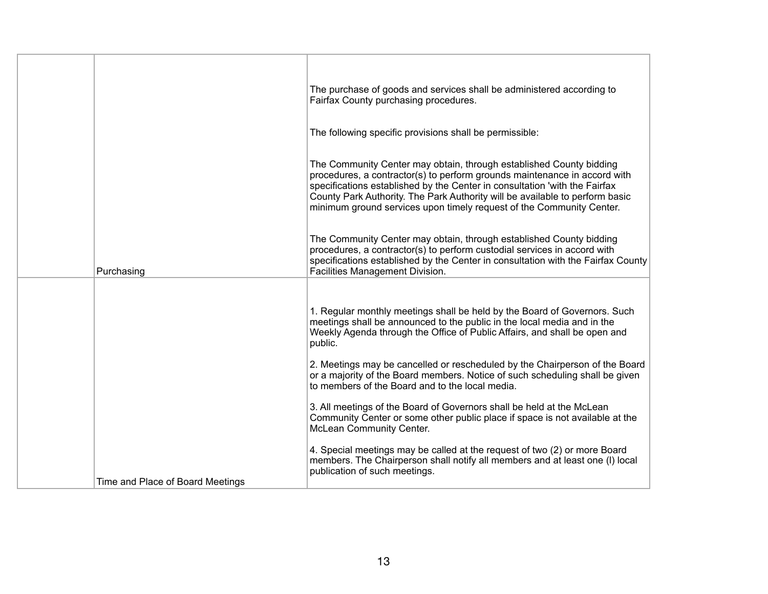|                                  | The purchase of goods and services shall be administered according to<br>Fairfax County purchasing procedures.                                                                                                                                                                                                                                                                         |
|----------------------------------|----------------------------------------------------------------------------------------------------------------------------------------------------------------------------------------------------------------------------------------------------------------------------------------------------------------------------------------------------------------------------------------|
|                                  | The following specific provisions shall be permissible:                                                                                                                                                                                                                                                                                                                                |
|                                  | The Community Center may obtain, through established County bidding<br>procedures, a contractor(s) to perform grounds maintenance in accord with<br>specifications established by the Center in consultation 'with the Fairfax<br>County Park Authority. The Park Authority will be available to perform basic<br>minimum ground services upon timely request of the Community Center. |
| Purchasing                       | The Community Center may obtain, through established County bidding<br>procedures, a contractor(s) to perform custodial services in accord with<br>specifications established by the Center in consultation with the Fairfax County<br>Facilities Management Division.                                                                                                                 |
|                                  | 1. Regular monthly meetings shall be held by the Board of Governors. Such<br>meetings shall be announced to the public in the local media and in the<br>Weekly Agenda through the Office of Public Affairs, and shall be open and<br>public.                                                                                                                                           |
|                                  | 2. Meetings may be cancelled or rescheduled by the Chairperson of the Board<br>or a majority of the Board members. Notice of such scheduling shall be given<br>to members of the Board and to the local media.                                                                                                                                                                         |
|                                  | 3. All meetings of the Board of Governors shall be held at the McLean<br>Community Center or some other public place if space is not available at the<br>McLean Community Center.                                                                                                                                                                                                      |
| Time and Place of Board Meetings | 4. Special meetings may be called at the request of two (2) or more Board<br>members. The Chairperson shall notify all members and at least one (I) local<br>publication of such meetings.                                                                                                                                                                                             |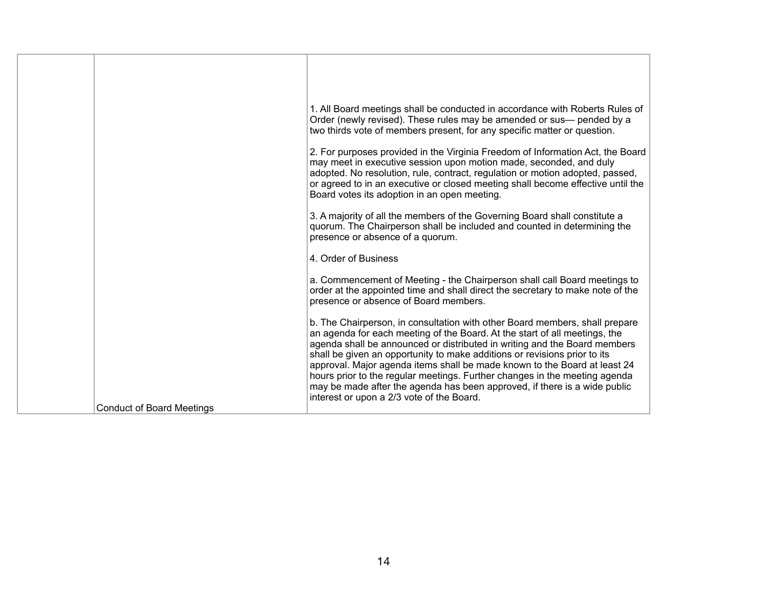|                                  | 1. All Board meetings shall be conducted in accordance with Roberts Rules of<br>Order (newly revised). These rules may be amended or sus- pended by a<br>two thirds vote of members present, for any specific matter or question.<br>2. For purposes provided in the Virginia Freedom of Information Act, the Board                                                                                                                                                                                                                                                                                      |
|----------------------------------|----------------------------------------------------------------------------------------------------------------------------------------------------------------------------------------------------------------------------------------------------------------------------------------------------------------------------------------------------------------------------------------------------------------------------------------------------------------------------------------------------------------------------------------------------------------------------------------------------------|
|                                  | may meet in executive session upon motion made, seconded, and duly<br>adopted. No resolution, rule, contract, regulation or motion adopted, passed,<br>or agreed to in an executive or closed meeting shall become effective until the<br>Board votes its adoption in an open meeting.                                                                                                                                                                                                                                                                                                                   |
|                                  | 3. A majority of all the members of the Governing Board shall constitute a<br>quorum. The Chairperson shall be included and counted in determining the<br>presence or absence of a quorum.                                                                                                                                                                                                                                                                                                                                                                                                               |
|                                  | 4. Order of Business                                                                                                                                                                                                                                                                                                                                                                                                                                                                                                                                                                                     |
|                                  | a. Commencement of Meeting - the Chairperson shall call Board meetings to<br>order at the appointed time and shall direct the secretary to make note of the<br>presence or absence of Board members.                                                                                                                                                                                                                                                                                                                                                                                                     |
|                                  | b. The Chairperson, in consultation with other Board members, shall prepare<br>an agenda for each meeting of the Board. At the start of all meetings, the<br>agenda shall be announced or distributed in writing and the Board members<br>shall be given an opportunity to make additions or revisions prior to its<br>approval. Major agenda items shall be made known to the Board at least 24<br>hours prior to the regular meetings. Further changes in the meeting agenda<br>may be made after the agenda has been approved, if there is a wide public<br>interest or upon a 2/3 vote of the Board. |
| <b>Conduct of Board Meetings</b> |                                                                                                                                                                                                                                                                                                                                                                                                                                                                                                                                                                                                          |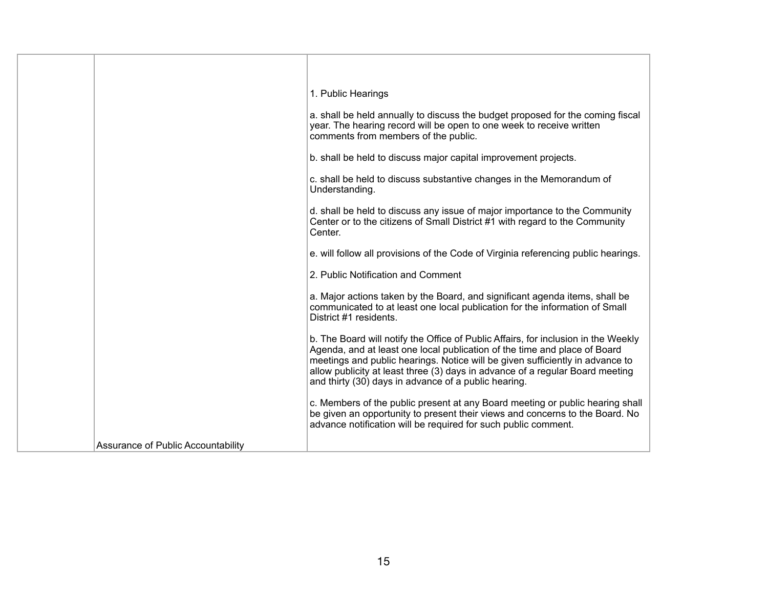|                                    | 1. Public Hearings                                                                                                                                                                                                                                                                                                                                                                        |
|------------------------------------|-------------------------------------------------------------------------------------------------------------------------------------------------------------------------------------------------------------------------------------------------------------------------------------------------------------------------------------------------------------------------------------------|
|                                    | a. shall be held annually to discuss the budget proposed for the coming fiscal<br>year. The hearing record will be open to one week to receive written<br>comments from members of the public.                                                                                                                                                                                            |
|                                    | b. shall be held to discuss major capital improvement projects.                                                                                                                                                                                                                                                                                                                           |
|                                    | c. shall be held to discuss substantive changes in the Memorandum of<br>Understanding.                                                                                                                                                                                                                                                                                                    |
|                                    | d. shall be held to discuss any issue of major importance to the Community<br>Center or to the citizens of Small District #1 with regard to the Community<br>Center.                                                                                                                                                                                                                      |
|                                    | e. will follow all provisions of the Code of Virginia referencing public hearings.                                                                                                                                                                                                                                                                                                        |
|                                    | 2. Public Notification and Comment                                                                                                                                                                                                                                                                                                                                                        |
|                                    | a. Major actions taken by the Board, and significant agenda items, shall be<br>communicated to at least one local publication for the information of Small<br>District #1 residents.                                                                                                                                                                                                      |
|                                    | b. The Board will notify the Office of Public Affairs, for inclusion in the Weekly<br>Agenda, and at least one local publication of the time and place of Board<br>meetings and public hearings. Notice will be given sufficiently in advance to<br>allow publicity at least three (3) days in advance of a regular Board meeting<br>and thirty (30) days in advance of a public hearing. |
|                                    | c. Members of the public present at any Board meeting or public hearing shall<br>be given an opportunity to present their views and concerns to the Board. No<br>advance notification will be required for such public comment.                                                                                                                                                           |
| Assurance of Public Accountability |                                                                                                                                                                                                                                                                                                                                                                                           |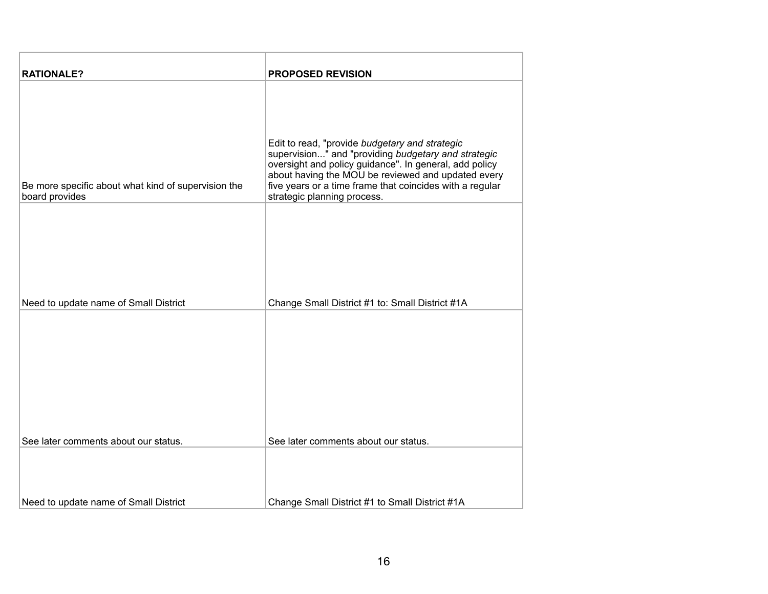| <b>RATIONALE?</b>                                                     | <b>PROPOSED REVISION</b>                                                                                                                                                                                                                                                                                         |
|-----------------------------------------------------------------------|------------------------------------------------------------------------------------------------------------------------------------------------------------------------------------------------------------------------------------------------------------------------------------------------------------------|
| Be more specific about what kind of supervision the<br>board provides | Edit to read, "provide budgetary and strategic<br>supervision" and "providing budgetary and strategic<br>oversight and policy guidance". In general, add policy<br>about having the MOU be reviewed and updated every<br>five years or a time frame that coincides with a regular<br>strategic planning process. |
| Need to update name of Small District                                 | Change Small District #1 to: Small District #1A                                                                                                                                                                                                                                                                  |
| See later comments about our status.                                  | See later comments about our status.                                                                                                                                                                                                                                                                             |
| Need to update name of Small District                                 | Change Small District #1 to Small District #1A                                                                                                                                                                                                                                                                   |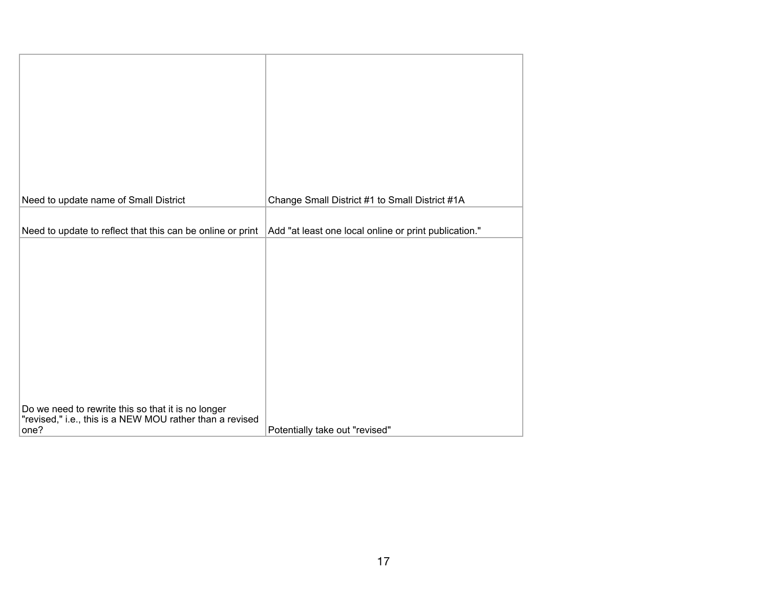| Need to update name of Small District                                                                                  | Change Small District #1 to Small District #1A        |
|------------------------------------------------------------------------------------------------------------------------|-------------------------------------------------------|
| Need to update to reflect that this can be online or print                                                             | Add "at least one local online or print publication." |
|                                                                                                                        |                                                       |
| Do we need to rewrite this so that it is no longer<br>"revised," i.e., this is a NEW MOU rather than a revised<br>one? | Potentially take out "revised"                        |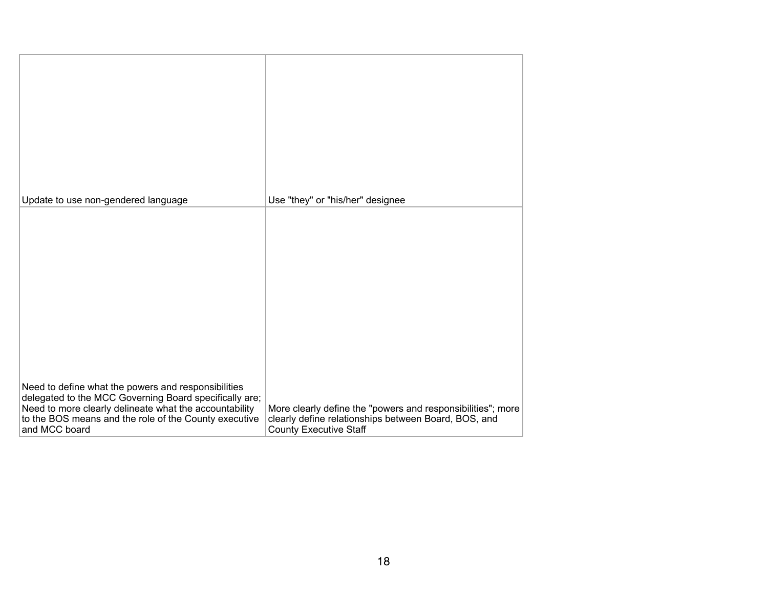| Update to use non-gendered language                                                                                              | Use "they" or "his/her" designee                                                                                                                     |
|----------------------------------------------------------------------------------------------------------------------------------|------------------------------------------------------------------------------------------------------------------------------------------------------|
|                                                                                                                                  |                                                                                                                                                      |
|                                                                                                                                  |                                                                                                                                                      |
|                                                                                                                                  |                                                                                                                                                      |
|                                                                                                                                  |                                                                                                                                                      |
|                                                                                                                                  |                                                                                                                                                      |
|                                                                                                                                  |                                                                                                                                                      |
|                                                                                                                                  |                                                                                                                                                      |
| Need to define what the powers and responsibilities<br>delegated to the MCC Governing Board specifically are;                    |                                                                                                                                                      |
| Need to more clearly delineate what the accountability<br>to the BOS means and the role of the County executive<br>and MCC board | More clearly define the "powers and responsibilities"; more<br>clearly define relationships between Board, BOS, and<br><b>County Executive Staff</b> |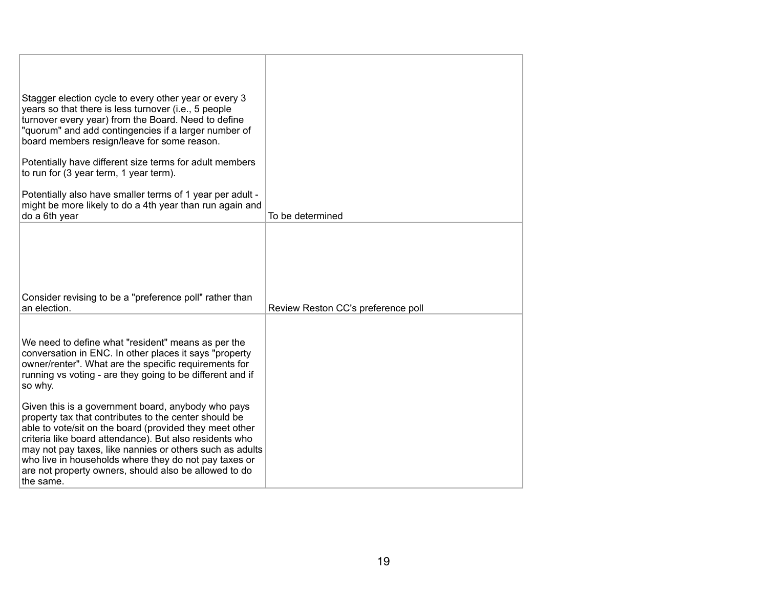| Stagger election cycle to every other year or every 3<br>years so that there is less turnover (i.e., 5 people<br>turnover every year) from the Board. Need to define<br>"quorum" and add contingencies if a larger number of<br>board members resign/leave for some reason.                                                                                                                                                  |                                    |
|------------------------------------------------------------------------------------------------------------------------------------------------------------------------------------------------------------------------------------------------------------------------------------------------------------------------------------------------------------------------------------------------------------------------------|------------------------------------|
| Potentially have different size terms for adult members<br>to run for (3 year term, 1 year term).                                                                                                                                                                                                                                                                                                                            |                                    |
| Potentially also have smaller terms of 1 year per adult -<br>might be more likely to do a 4th year than run again and<br>do a 6th year                                                                                                                                                                                                                                                                                       | To be determined                   |
|                                                                                                                                                                                                                                                                                                                                                                                                                              |                                    |
| Consider revising to be a "preference poll" rather than<br>an election.                                                                                                                                                                                                                                                                                                                                                      | Review Reston CC's preference poll |
|                                                                                                                                                                                                                                                                                                                                                                                                                              |                                    |
| We need to define what "resident" means as per the<br>conversation in ENC. In other places it says "property<br>owner/renter". What are the specific requirements for<br>running vs voting - are they going to be different and if<br>so why.                                                                                                                                                                                |                                    |
| Given this is a government board, anybody who pays<br>property tax that contributes to the center should be<br>able to vote/sit on the board (provided they meet other<br>criteria like board attendance). But also residents who<br>may not pay taxes, like nannies or others such as adults<br>who live in households where they do not pay taxes or<br>are not property owners, should also be allowed to do<br>the same. |                                    |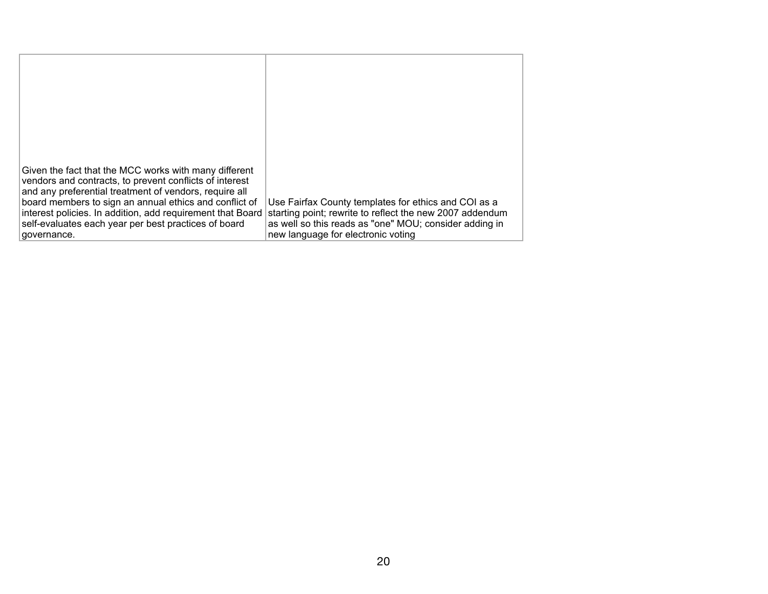| Given the fact that the MCC works with many different<br>vendors and contracts, to prevent conflicts of interest<br>and any preferential treatment of vendors, require all<br>board members to sign an annual ethics and conflict of<br>interest policies. In addition, add requirement that Board<br>self-evaluates each year per best practices of board<br>governance. | Use Fairfax County templates for ethics and COI as a<br>starting point; rewrite to reflect the new 2007 addendum<br>as well so this reads as "one" MOU; consider adding in<br>new language for electronic voting |
|---------------------------------------------------------------------------------------------------------------------------------------------------------------------------------------------------------------------------------------------------------------------------------------------------------------------------------------------------------------------------|------------------------------------------------------------------------------------------------------------------------------------------------------------------------------------------------------------------|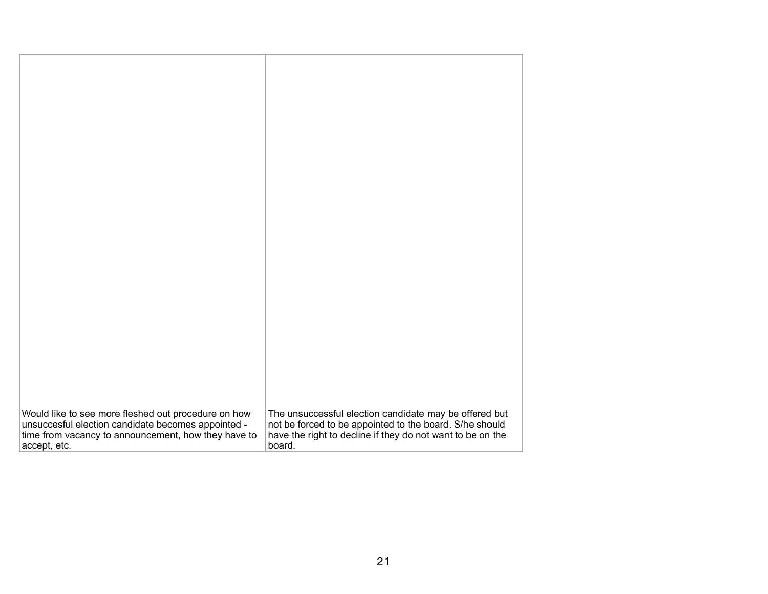| Would like to see more fleshed out procedure on how | The unsuccessful election candidate may be offered but     |
|-----------------------------------------------------|------------------------------------------------------------|
| unsuccesful election candidate becomes appointed -  | not be forced to be appointed to the board. S/he should    |
|                                                     |                                                            |
| time from vacancy to announcement, how they have to | have the right to decline if they do not want to be on the |
| accept, etc.                                        | board.                                                     |
|                                                     |                                                            |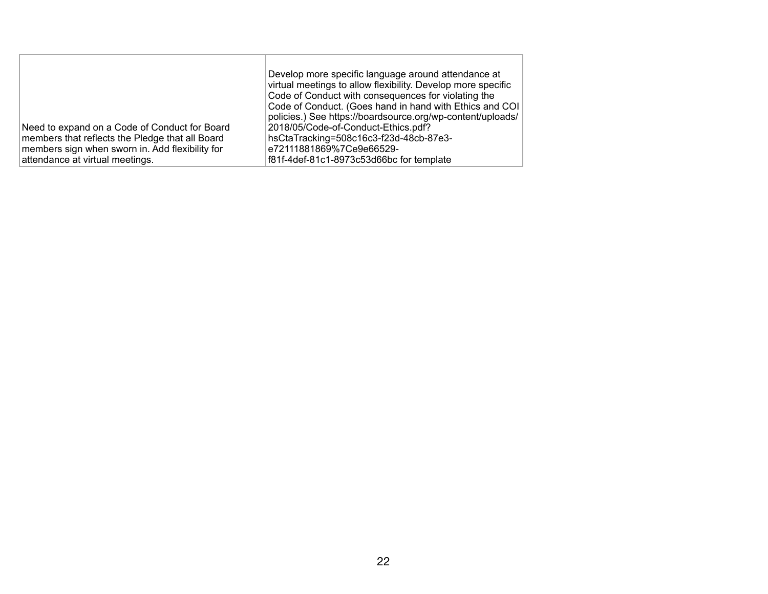| Need to expand on a Code of Conduct for Board<br>members that reflects the Pledge that all Board<br>members sign when sworn in. Add flexibility for<br>attendance at virtual meetings. | Develop more specific language around attendance at<br>virtual meetings to allow flexibility. Develop more specific<br>Code of Conduct with consequences for violating the<br>Code of Conduct. (Goes hand in hand with Ethics and COI<br>policies.) See https://boardsource.org/wp-content/uploads/<br>2018/05/Code-of-Conduct-Ethics.pdf?<br>hsCtaTracking=508c16c3-f23d-48cb-87e3-<br>e72111881869%7Ce9e66529-<br>f81f-4def-81c1-8973c53d66bc for template |
|----------------------------------------------------------------------------------------------------------------------------------------------------------------------------------------|--------------------------------------------------------------------------------------------------------------------------------------------------------------------------------------------------------------------------------------------------------------------------------------------------------------------------------------------------------------------------------------------------------------------------------------------------------------|
|----------------------------------------------------------------------------------------------------------------------------------------------------------------------------------------|--------------------------------------------------------------------------------------------------------------------------------------------------------------------------------------------------------------------------------------------------------------------------------------------------------------------------------------------------------------------------------------------------------------------------------------------------------------|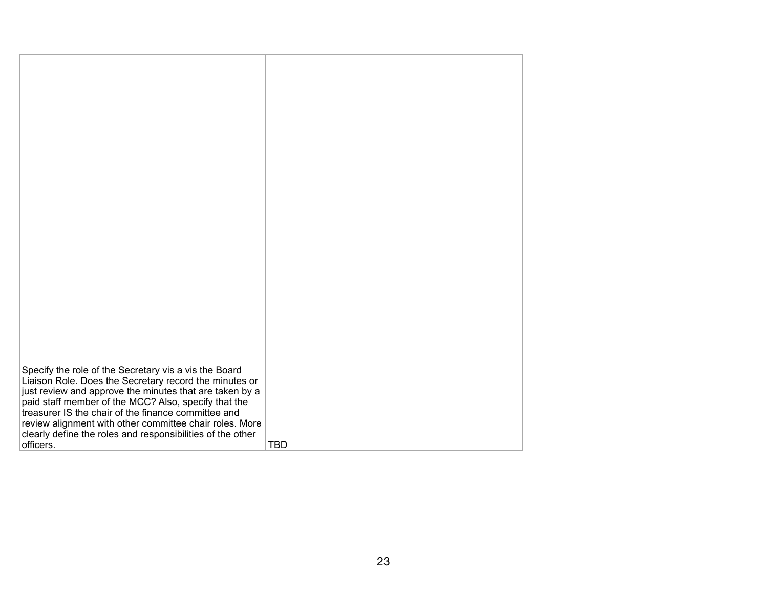| Specify the role of the Secretary vis a vis the Board<br>Liaison Role. Does the Secretary record the minutes or<br>just review and approve the minutes that are taken by a<br>paid staff member of the MCC? Also, specify that the<br>treasurer IS the chair of the finance committee and<br>review alignment with other committee chair roles. More<br>clearly define the roles and responsibilities of the other<br>officers. | <b>TBD</b> |
|---------------------------------------------------------------------------------------------------------------------------------------------------------------------------------------------------------------------------------------------------------------------------------------------------------------------------------------------------------------------------------------------------------------------------------|------------|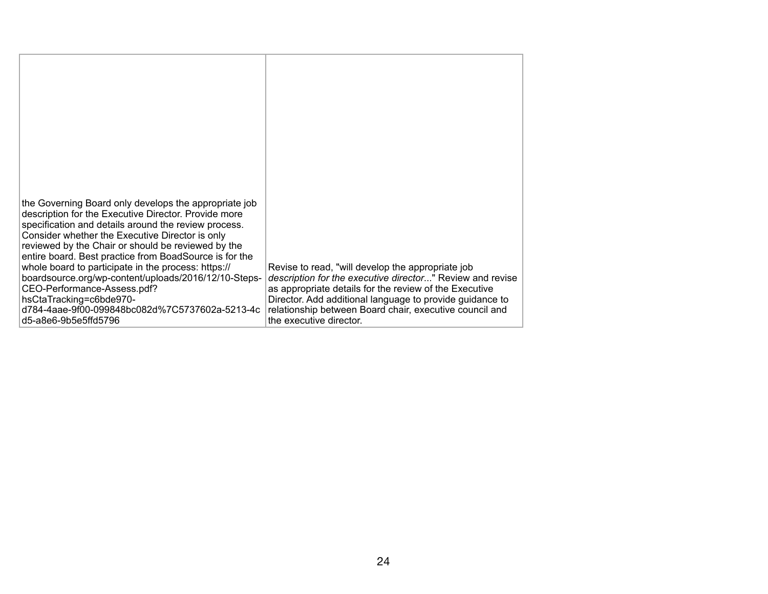| the Governing Board only develops the appropriate job<br>description for the Executive Director. Provide more<br>specification and details around the review process.<br>Consider whether the Executive Director is only<br>reviewed by the Chair or should be reviewed by the<br>entire board. Best practice from BoadSource is for the<br>whole board to participate in the process: https://<br>boardsource.org/wp-content/uploads/2016/12/10-Steps-<br>CEO-Performance-Assess.pdf?<br>hsCtaTracking=c6bde970-<br>d784-4aae-9f00-099848bc082d%7C5737602a-5213-4c<br>d5-a8e6-9b5e5ffd5796 | Revise to read, "will develop the appropriate job<br>description for the executive director" Review and revise<br>as appropriate details for the review of the Executive<br>Director. Add additional language to provide guidance to<br>relationship between Board chair, executive council and<br>the executive director. |
|---------------------------------------------------------------------------------------------------------------------------------------------------------------------------------------------------------------------------------------------------------------------------------------------------------------------------------------------------------------------------------------------------------------------------------------------------------------------------------------------------------------------------------------------------------------------------------------------|----------------------------------------------------------------------------------------------------------------------------------------------------------------------------------------------------------------------------------------------------------------------------------------------------------------------------|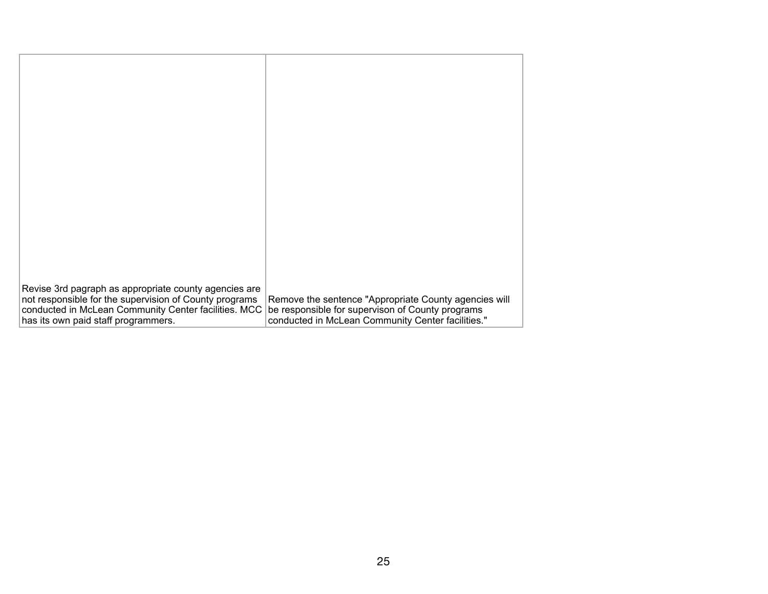| Revise 3rd pagraph as appropriate county agencies are<br>not responsible for the supervision of County programs<br>conducted in McLean Community Center facilities. MCC<br>has its own paid staff programmers. | Remove the sentence "Appropriate County agencies will<br>be responsible for supervison of County programs<br>conducted in McLean Community Center facilities." |
|----------------------------------------------------------------------------------------------------------------------------------------------------------------------------------------------------------------|----------------------------------------------------------------------------------------------------------------------------------------------------------------|
|                                                                                                                                                                                                                |                                                                                                                                                                |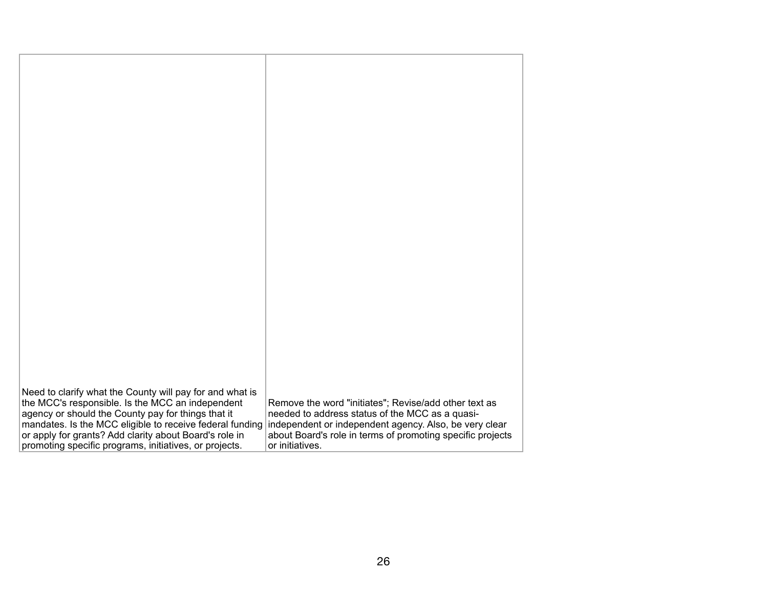| Need to clarify what the County will pay for and what is |                                                            |
|----------------------------------------------------------|------------------------------------------------------------|
| the MCC's responsible. Is the MCC an independent         | Remove the word "initiates"; Revise/add other text as      |
| agency or should the County pay for things that it       | needed to address status of the MCC as a quasi-            |
| mandates. Is the MCC eligible to receive federal funding | independent or independent agency. Also, be very clear     |
| or apply for grants? Add clarity about Board's role in   | about Board's role in terms of promoting specific projects |
| promoting specific programs, initiatives, or projects.   | or initiatives.                                            |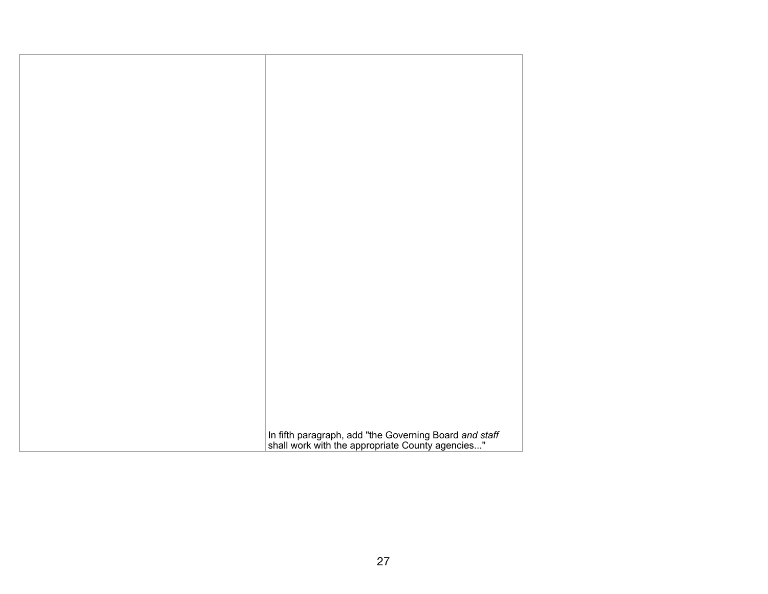| In fifth paragraph, add "the Governing Board and staff shall work with the appropriate County agencies" |
|---------------------------------------------------------------------------------------------------------|
|                                                                                                         |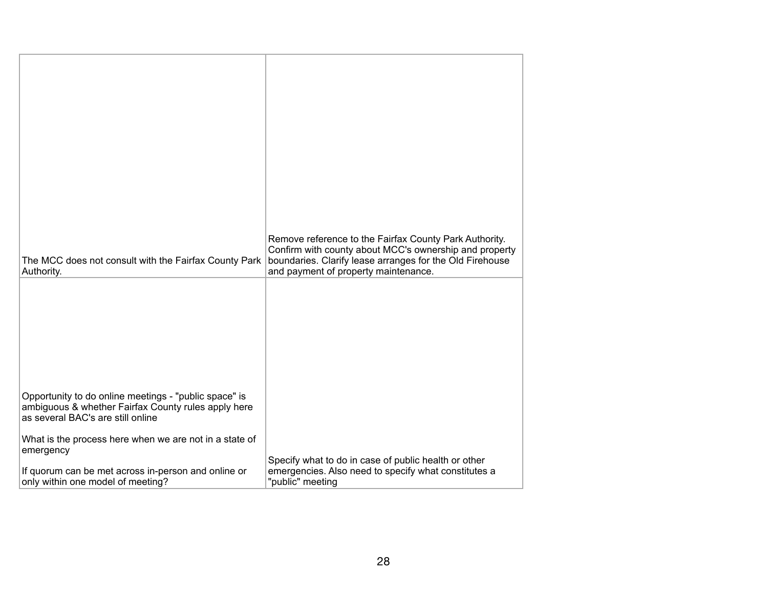|                                                                                                                                                   | Remove reference to the Fairfax County Park Authority.                                                                                                     |
|---------------------------------------------------------------------------------------------------------------------------------------------------|------------------------------------------------------------------------------------------------------------------------------------------------------------|
| The MCC does not consult with the Fairfax County Park<br>Authority.                                                                               | Confirm with county about MCC's ownership and property<br>boundaries. Clarify lease arranges for the Old Firehouse<br>and payment of property maintenance. |
|                                                                                                                                                   |                                                                                                                                                            |
| Opportunity to do online meetings - "public space" is<br>ambiguous & whether Fairfax County rules apply here<br>as several BAC's are still online |                                                                                                                                                            |
| What is the process here when we are not in a state of<br>emergency                                                                               |                                                                                                                                                            |
| If quorum can be met across in-person and online or<br>only within one model of meeting?                                                          | Specify what to do in case of public health or other<br>emergencies. Also need to specify what constitutes a<br>"public" meeting                           |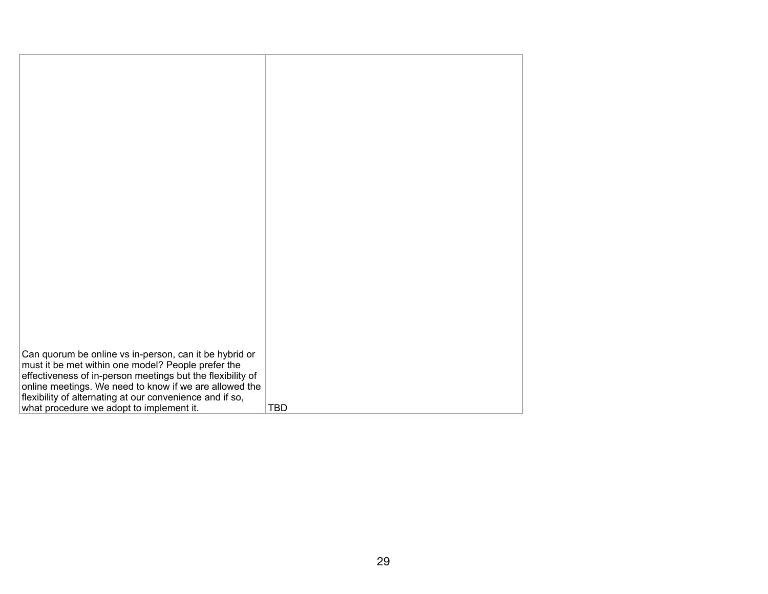| Can quorum be online vs in-person, can it be hybrid or     |            |
|------------------------------------------------------------|------------|
|                                                            |            |
| must it be met within one model? People prefer the         |            |
| effectiveness of in-person meetings but the flexibility of |            |
| online meetings. We need to know if we are allowed the     |            |
|                                                            |            |
| flexibility of alternating at our convenience and if so,   |            |
| what procedure we adopt to implement it.                   | <b>TBD</b> |